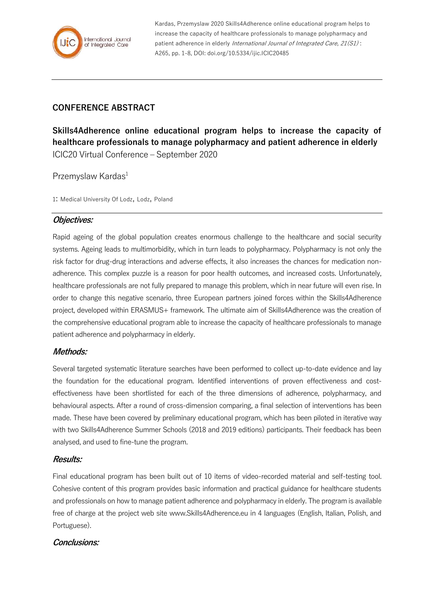

Kardas, Przemyslaw 2020 Skills4Adherence online educational program helps to increase the capacity of healthcare professionals to manage polypharmacy and patient adherence in elderly International Journal of Integrated Care, 21(S1): A265, pp. 1-8, DOI: doi.org/10.5334/ijic.ICIC20485

# **CONFERENCE ABSTRACT**

**Skills4Adherence online educational program helps to increase the capacity of healthcare professionals to manage polypharmacy and patient adherence in elderly** ICIC20 Virtual Conference – September 2020

Przemyslaw Kardas<sup>1</sup>

1: Medical University Of Lodz, Lodz, Poland

## **Objectives:**

Rapid ageing of the global population creates enormous challenge to the healthcare and social security systems. Ageing leads to multimorbidity, which in turn leads to polypharmacy. Polypharmacy is not only the risk factor for drug-drug interactions and adverse effects, it also increases the chances for medication nonadherence. This complex puzzle is a reason for poor health outcomes, and increased costs. Unfortunately, healthcare professionals are not fully prepared to manage this problem, which in near future will even rise. In order to change this negative scenario, three European partners joined forces within the Skills4Adherence project, developed within ERASMUS+ framework. The ultimate aim of Skills4Adherence was the creation of the comprehensive educational program able to increase the capacity of healthcare professionals to manage patient adherence and polypharmacy in elderly.

### **Methods:**

Several targeted systematic literature searches have been performed to collect up-to-date evidence and lay the foundation for the educational program. Identified interventions of proven effectiveness and costeffectiveness have been shortlisted for each of the three dimensions of adherence, polypharmacy, and behavioural aspects. After a round of cross-dimension comparing, a final selection of interventions has been made. These have been covered by preliminary educational program, which has been piloted in iterative way with two Skills4Adherence Summer Schools (2018 and 2019 editions) participants. Their feedback has been analysed, and used to fine-tune the program.

### **Results:**

Final educational program has been built out of 10 items of video-recorded material and self-testing tool. Cohesive content of this program provides basic information and practical guidance for healthcare students and professionals on how to manage patient adherence and polypharmacy in elderly. The program is available free of charge at the project web site www.Skills4Adherence.eu in 4 languages (English, Italian, Polish, and Portuguese).

### **Conclusions:**